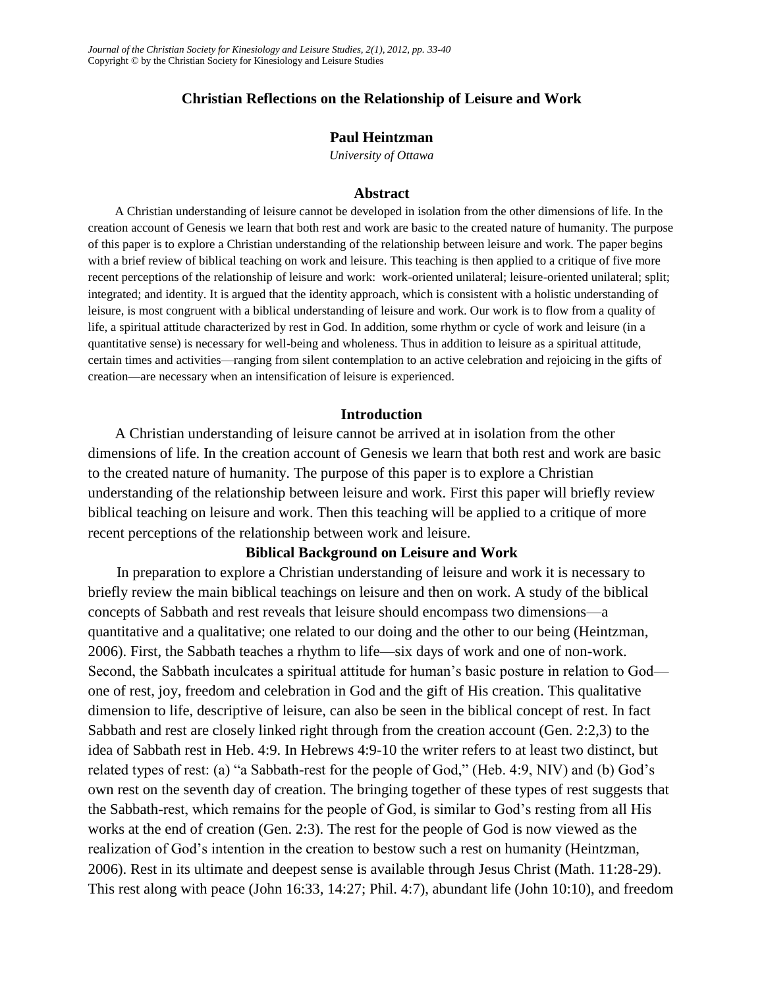# **Christian Reflections on the Relationship of Leisure and Work**

## **Paul Heintzman**

*University of Ottawa*

### **Abstract**

A Christian understanding of leisure cannot be developed in isolation from the other dimensions of life. In the creation account of Genesis we learn that both rest and work are basic to the created nature of humanity. The purpose of this paper is to explore a Christian understanding of the relationship between leisure and work. The paper begins with a brief review of biblical teaching on work and leisure. This teaching is then applied to a critique of five more recent perceptions of the relationship of leisure and work: work-oriented unilateral; leisure-oriented unilateral; split; integrated; and identity. It is argued that the identity approach, which is consistent with a holistic understanding of leisure, is most congruent with a biblical understanding of leisure and work. Our work is to flow from a quality of life, a spiritual attitude characterized by rest in God. In addition, some rhythm or cycle of work and leisure (in a quantitative sense) is necessary for well-being and wholeness. Thus in addition to leisure as a spiritual attitude, certain times and activities—ranging from silent contemplation to an active celebration and rejoicing in the gifts of creation—are necessary when an intensification of leisure is experienced.

### **Introduction**

A Christian understanding of leisure cannot be arrived at in isolation from the other dimensions of life. In the creation account of Genesis we learn that both rest and work are basic to the created nature of humanity. The purpose of this paper is to explore a Christian understanding of the relationship between leisure and work. First this paper will briefly review biblical teaching on leisure and work. Then this teaching will be applied to a critique of more recent perceptions of the relationship between work and leisure.

#### **Biblical Background on Leisure and Work**

In preparation to explore a Christian understanding of leisure and work it is necessary to briefly review the main biblical teachings on leisure and then on work. A study of the biblical concepts of Sabbath and rest reveals that leisure should encompass two dimensions—a quantitative and a qualitative; one related to our doing and the other to our being (Heintzman, 2006). First, the Sabbath teaches a rhythm to life—six days of work and one of non-work. Second, the Sabbath inculcates a spiritual attitude for human's basic posture in relation to God one of rest, joy, freedom and celebration in God and the gift of His creation. This qualitative dimension to life, descriptive of leisure, can also be seen in the biblical concept of rest. In fact Sabbath and rest are closely linked right through from the creation account (Gen. 2:2,3) to the idea of Sabbath rest in Heb. 4:9. In Hebrews 4:9-10 the writer refers to at least two distinct, but related types of rest: (a) "a Sabbath-rest for the people of God," (Heb. 4:9, NIV) and (b) God's own rest on the seventh day of creation. The bringing together of these types of rest suggests that the Sabbath-rest, which remains for the people of God, is similar to God's resting from all His works at the end of creation (Gen. 2:3). The rest for the people of God is now viewed as the realization of God's intention in the creation to bestow such a rest on humanity (Heintzman, 2006). Rest in its ultimate and deepest sense is available through Jesus Christ (Math. 11:28-29). This rest along with peace (John 16:33, 14:27; Phil. 4:7), abundant life (John 10:10), and freedom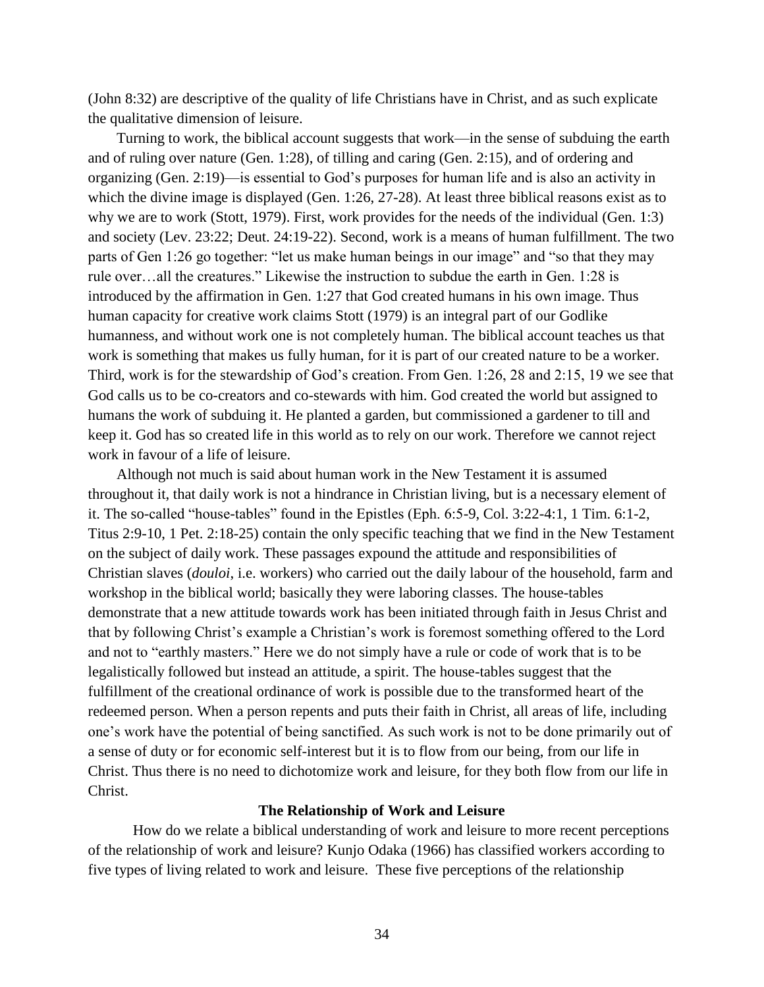(John 8:32) are descriptive of the quality of life Christians have in Christ, and as such explicate the qualitative dimension of leisure.

Turning to work, the biblical account suggests that work—in the sense of subduing the earth and of ruling over nature (Gen. 1:28), of tilling and caring (Gen. 2:15), and of ordering and organizing (Gen. 2:19)—is essential to God's purposes for human life and is also an activity in which the divine image is displayed (Gen. 1:26, 27-28). At least three biblical reasons exist as to why we are to work (Stott, 1979). First, work provides for the needs of the individual (Gen. 1:3) and society (Lev. 23:22; Deut. 24:19-22). Second, work is a means of human fulfillment. The two parts of Gen 1:26 go together: "let us make human beings in our image" and "so that they may rule over…all the creatures." Likewise the instruction to subdue the earth in Gen. 1:28 is introduced by the affirmation in Gen. 1:27 that God created humans in his own image. Thus human capacity for creative work claims Stott (1979) is an integral part of our Godlike humanness, and without work one is not completely human. The biblical account teaches us that work is something that makes us fully human, for it is part of our created nature to be a worker. Third, work is for the stewardship of God's creation. From Gen. 1:26, 28 and 2:15, 19 we see that God calls us to be co-creators and co-stewards with him. God created the world but assigned to humans the work of subduing it. He planted a garden, but commissioned a gardener to till and keep it. God has so created life in this world as to rely on our work. Therefore we cannot reject work in favour of a life of leisure.

Although not much is said about human work in the New Testament it is assumed throughout it, that daily work is not a hindrance in Christian living, but is a necessary element of it. The so-called "house-tables" found in the Epistles (Eph. 6:5-9, Col. 3:22-4:1, 1 Tim. 6:1-2, Titus 2:9-10, 1 Pet. 2:18-25) contain the only specific teaching that we find in the New Testament on the subject of daily work. These passages expound the attitude and responsibilities of Christian slaves (*douloi*, i.e. workers) who carried out the daily labour of the household, farm and workshop in the biblical world; basically they were laboring classes. The house-tables demonstrate that a new attitude towards work has been initiated through faith in Jesus Christ and that by following Christ's example a Christian's work is foremost something offered to the Lord and not to "earthly masters." Here we do not simply have a rule or code of work that is to be legalistically followed but instead an attitude, a spirit. The house-tables suggest that the fulfillment of the creational ordinance of work is possible due to the transformed heart of the redeemed person. When a person repents and puts their faith in Christ, all areas of life, including one's work have the potential of being sanctified. As such work is not to be done primarily out of a sense of duty or for economic self-interest but it is to flow from our being, from our life in Christ. Thus there is no need to dichotomize work and leisure, for they both flow from our life in Christ.

## **The Relationship of Work and Leisure**

How do we relate a biblical understanding of work and leisure to more recent perceptions of the relationship of work and leisure? Kunjo Odaka (1966) has classified workers according to five types of living related to work and leisure. These five perceptions of the relationship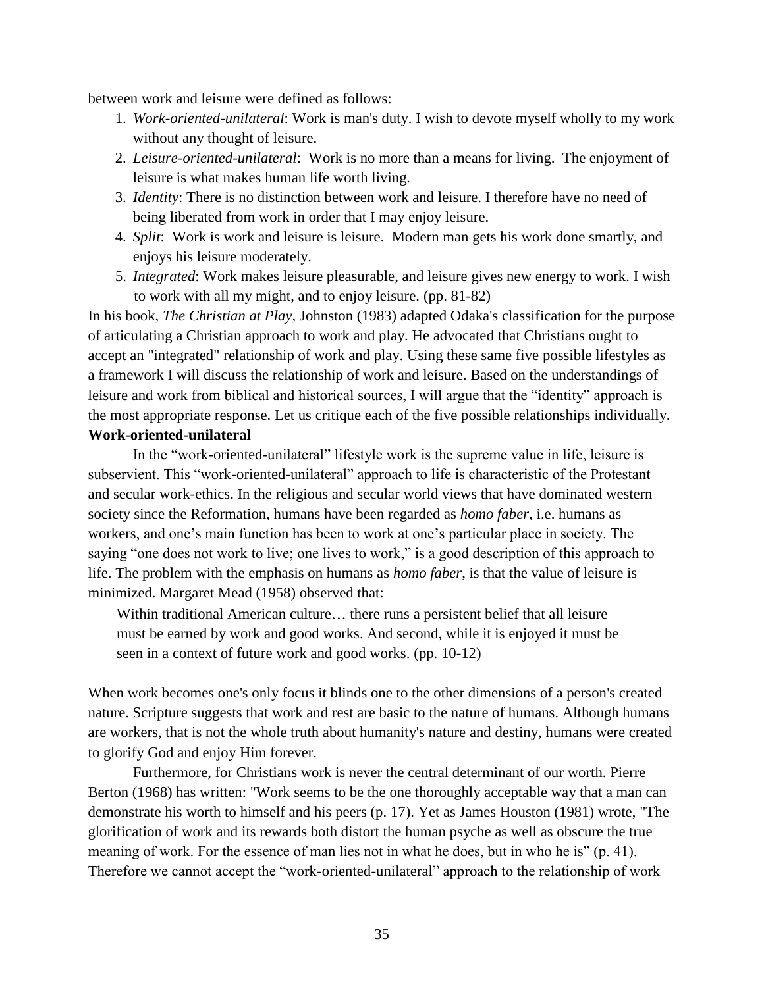between work and leisure were defined as follows:

- 1. *Work-oriented-unilateral*: Work is man's duty. I wish to devote myself wholly to my work without any thought of leisure.
- 2. *Leisure-oriented-unilateral*: Work is no more than a means for living. The enjoyment of leisure is what makes human life worth living.
- 3. *Identity*: There is no distinction between work and leisure. I therefore have no need of being liberated from work in order that I may enjoy leisure.
- 4. *Split*: Work is work and leisure is leisure. Modern man gets his work done smartly, and enjoys his leisure moderately.
- 5. *Integrated*: Work makes leisure pleasurable, and leisure gives new energy to work. I wish to work with all my might, and to enjoy leisure. (pp. 81-82)

In his book, *The Christian at Play*, Johnston (1983) adapted Odaka's classification for the purpose of articulating a Christian approach to work and play. He advocated that Christians ought to accept an "integrated" relationship of work and play. Using these same five possible lifestyles as a framework I will discuss the relationship of work and leisure. Based on the understandings of leisure and work from biblical and historical sources, I will argue that the "identity" approach is the most appropriate response. Let us critique each of the five possible relationships individually.

# **Work-oriented-unilateral**

In the "work-oriented-unilateral" lifestyle work is the supreme value in life, leisure is subservient. This "work-oriented-unilateral" approach to life is characteristic of the Protestant and secular work-ethics. In the religious and secular world views that have dominated western society since the Reformation, humans have been regarded as *homo faber*, i.e. humans as workers, and one's main function has been to work at one's particular place in society. The saying "one does not work to live; one lives to work," is a good description of this approach to life. The problem with the emphasis on humans as *homo faber*, is that the value of leisure is minimized. Margaret Mead (1958) observed that:

Within traditional American culture... there runs a persistent belief that all leisure must be earned by work and good works. And second, while it is enjoyed it must be seen in a context of future work and good works. (pp. 10-12)

When work becomes one's only focus it blinds one to the other dimensions of a person's created nature. Scripture suggests that work and rest are basic to the nature of humans. Although humans are workers, that is not the whole truth about humanity's nature and destiny, humans were created to glorify God and enjoy Him forever.

Furthermore, for Christians work is never the central determinant of our worth. Pierre Berton (1968) has written: "Work seems to be the one thoroughly acceptable way that a man can demonstrate his worth to himself and his peers (p. 17). Yet as James Houston (1981) wrote, "The glorification of work and its rewards both distort the human psyche as well as obscure the true meaning of work. For the essence of man lies not in what he does, but in who he is" (p. 41). Therefore we cannot accept the "work-oriented-unilateral" approach to the relationship of work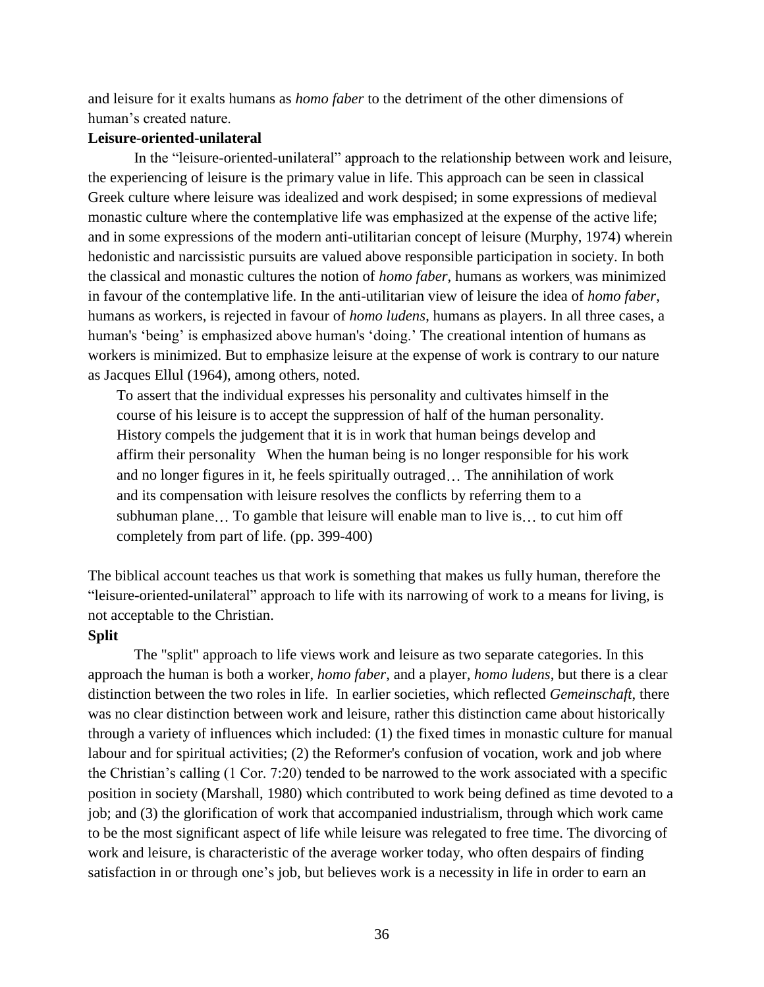and leisure for it exalts humans as *homo faber* to the detriment of the other dimensions of human's created nature.

## **Leisure-oriented-unilateral**

In the "leisure-oriented-unilateral" approach to the relationship between work and leisure, the experiencing of leisure is the primary value in life. This approach can be seen in classical Greek culture where leisure was idealized and work despised; in some expressions of medieval monastic culture where the contemplative life was emphasized at the expense of the active life; and in some expressions of the modern anti-utilitarian concept of leisure (Murphy, 1974) wherein hedonistic and narcissistic pursuits are valued above responsible participation in society. In both the classical and monastic cultures the notion of *homo faber*, humans as workers was minimized in favour of the contemplative life. In the anti-utilitarian view of leisure the idea of *homo faber*, humans as workers, is rejected in favour of *homo ludens*, humans as players. In all three cases, a human's 'being' is emphasized above human's 'doing.' The creational intention of humans as workers is minimized. But to emphasize leisure at the expense of work is contrary to our nature as Jacques Ellul (1964), among others, noted.

To assert that the individual expresses his personality and cultivates himself in the course of his leisure is to accept the suppression of half of the human personality. History compels the judgement that it is in work that human beings develop and affirm their personality When the human being is no longer responsible for his work and no longer figures in it, he feels spiritually outraged... The annihilation of work and its compensation with leisure resolves the conflicts by referring them to a subhuman plane... To gamble that leisure will enable man to live is... to cut him off completely from part of life. (pp. 399-400)

The biblical account teaches us that work is something that makes us fully human, therefore the "leisure-oriented-unilateral" approach to life with its narrowing of work to a means for living, is not acceptable to the Christian.

### **Split**

The "split" approach to life views work and leisure as two separate categories. In this approach the human is both a worker, *homo faber*, and a player, *homo ludens*, but there is a clear distinction between the two roles in life. In earlier societies, which reflected *Gemeinschaft*, there was no clear distinction between work and leisure, rather this distinction came about historically through a variety of influences which included: (1) the fixed times in monastic culture for manual labour and for spiritual activities; (2) the Reformer's confusion of vocation, work and job where the Christian's calling (1 Cor. 7:20) tended to be narrowed to the work associated with a specific position in society (Marshall, 1980) which contributed to work being defined as time devoted to a job; and (3) the glorification of work that accompanied industrialism, through which work came to be the most significant aspect of life while leisure was relegated to free time. The divorcing of work and leisure, is characteristic of the average worker today, who often despairs of finding satisfaction in or through one's job, but believes work is a necessity in life in order to earn an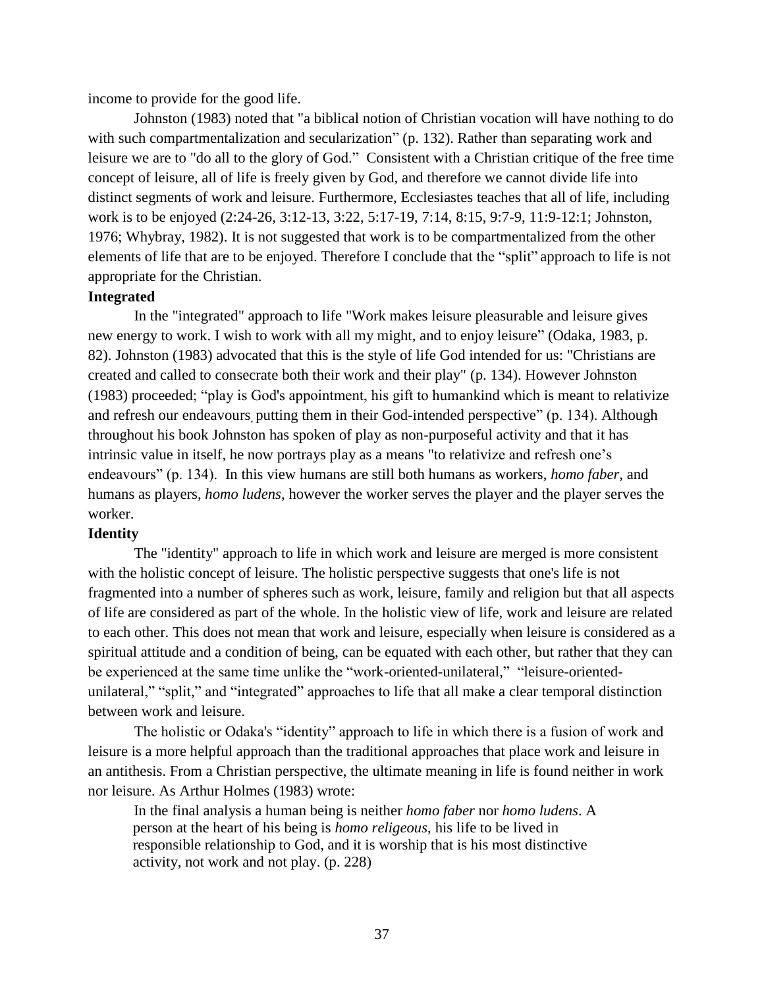income to provide for the good life.

Johnston (1983) noted that "a biblical notion of Christian vocation will have nothing to do with such compartmentalization and secularization" (p. 132). Rather than separating work and leisure we are to "do all to the glory of God." Consistent with a Christian critique of the free time concept of leisure, all of life is freely given by God, and therefore we cannot divide life into distinct segments of work and leisure. Furthermore, Ecclesiastes teaches that all of life, including work is to be enjoyed (2:24-26, 3:12-13, 3:22, 5:17-19, 7:14, 8:15, 9:7-9, 11:9-12:1; Johnston, 1976; Whybray, 1982). It is not suggested that work is to be compartmentalized from the other elements of life that are to be enjoyed. Therefore I conclude that the "split" approach to life is not appropriate for the Christian.

## **Integrated**

In the "integrated" approach to life "Work makes leisure pleasurable and leisure gives new energy to work. I wish to work with all my might, and to enjoy leisure" (Odaka, 1983, p. 82). Johnston (1983) advocated that this is the style of life God intended for us: "Christians are created and called to consecrate both their work and their play" (p. 134). However Johnston (1983) proceeded; "play is God's appointment, his gift to humankind which is meant to relativize and refresh our endeavours, putting them in their God-intended perspective" (p. 134). Although throughout his book Johnston has spoken of play as non-purposeful activity and that it has intrinsic value in itself, he now portrays play as a means "to relativize and refresh one's endeavours" (p. 134). In this view humans are still both humans as workers, *homo faber*, and humans as players, *homo ludens*, however the worker serves the player and the player serves the worker.

## **Identity**

The "identity" approach to life in which work and leisure are merged is more consistent with the holistic concept of leisure. The holistic perspective suggests that one's life is not fragmented into a number of spheres such as work, leisure, family and religion but that all aspects of life are considered as part of the whole. In the holistic view of life, work and leisure are related to each other. This does not mean that work and leisure, especially when leisure is considered as a spiritual attitude and a condition of being, can be equated with each other, but rather that they can be experienced at the same time unlike the "work-oriented-unilateral," "leisure-orientedunilateral," "split," and "integrated" approaches to life that all make a clear temporal distinction between work and leisure.

The holistic or Odaka's "identity" approach to life in which there is a fusion of work and leisure is a more helpful approach than the traditional approaches that place work and leisure in an antithesis. From a Christian perspective, the ultimate meaning in life is found neither in work nor leisure. As Arthur Holmes (1983) wrote:

In the final analysis a human being is neither *homo faber* nor *homo ludens*. A person at the heart of his being is *homo religeous*, his life to be lived in responsible relationship to God, and it is worship that is his most distinctive activity, not work and not play. (p. 228)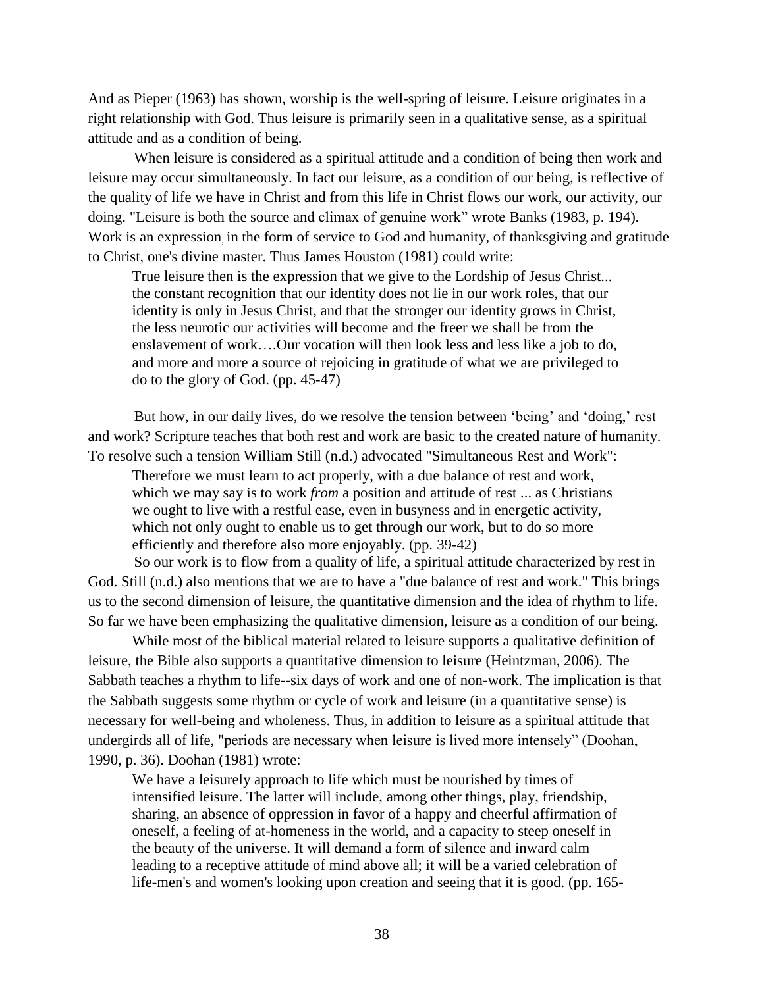And as Pieper (1963) has shown, worship is the well-spring of leisure. Leisure originates in a right relationship with God. Thus leisure is primarily seen in a qualitative sense, as a spiritual attitude and as a condition of being.

When leisure is considered as a spiritual attitude and a condition of being then work and leisure may occur simultaneously. In fact our leisure, as a condition of our being, is reflective of the quality of life we have in Christ and from this life in Christ flows our work, our activity, our doing. "Leisure is both the source and climax of genuine work" wrote Banks (1983, p. 194). Work is an expression in the form of service to God and humanity, of thanksgiving and gratitude to Christ, one's divine master. Thus James Houston (1981) could write:

True leisure then is the expression that we give to the Lordship of Jesus Christ... the constant recognition that our identity does not lie in our work roles, that our identity is only in Jesus Christ, and that the stronger our identity grows in Christ, the less neurotic our activities will become and the freer we shall be from the enslavement of work….Our vocation will then look less and less like a job to do, and more and more a source of rejoicing in gratitude of what we are privileged to do to the glory of God. (pp. 45-47)

But how, in our daily lives, do we resolve the tension between 'being' and 'doing,' rest and work? Scripture teaches that both rest and work are basic to the created nature of humanity. To resolve such a tension William Still (n.d.) advocated "Simultaneous Rest and Work":

Therefore we must learn to act properly, with a due balance of rest and work, which we may say is to work *from* a position and attitude of rest ... as Christians we ought to live with a restful ease, even in busyness and in energetic activity, which not only ought to enable us to get through our work, but to do so more efficiently and therefore also more enjoyably. (pp. 39-42)

So our work is to flow from a quality of life, a spiritual attitude characterized by rest in God. Still (n.d.) also mentions that we are to have a "due balance of rest and work." This brings us to the second dimension of leisure, the quantitative dimension and the idea of rhythm to life. So far we have been emphasizing the qualitative dimension, leisure as a condition of our being.

While most of the biblical material related to leisure supports a qualitative definition of leisure, the Bible also supports a quantitative dimension to leisure (Heintzman, 2006). The Sabbath teaches a rhythm to life--six days of work and one of non-work. The implication is that the Sabbath suggests some rhythm or cycle of work and leisure (in a quantitative sense) is necessary for well-being and wholeness. Thus, in addition to leisure as a spiritual attitude that undergirds all of life, "periods are necessary when leisure is lived more intensely" (Doohan, 1990, p. 36). Doohan (1981) wrote:

We have a leisurely approach to life which must be nourished by times of intensified leisure. The latter will include, among other things, play, friendship, sharing, an absence of oppression in favor of a happy and cheerful affirmation of oneself, a feeling of at-homeness in the world, and a capacity to steep oneself in the beauty of the universe. It will demand a form of silence and inward calm leading to a receptive attitude of mind above all; it will be a varied celebration of life-men's and women's looking upon creation and seeing that it is good. (pp. 165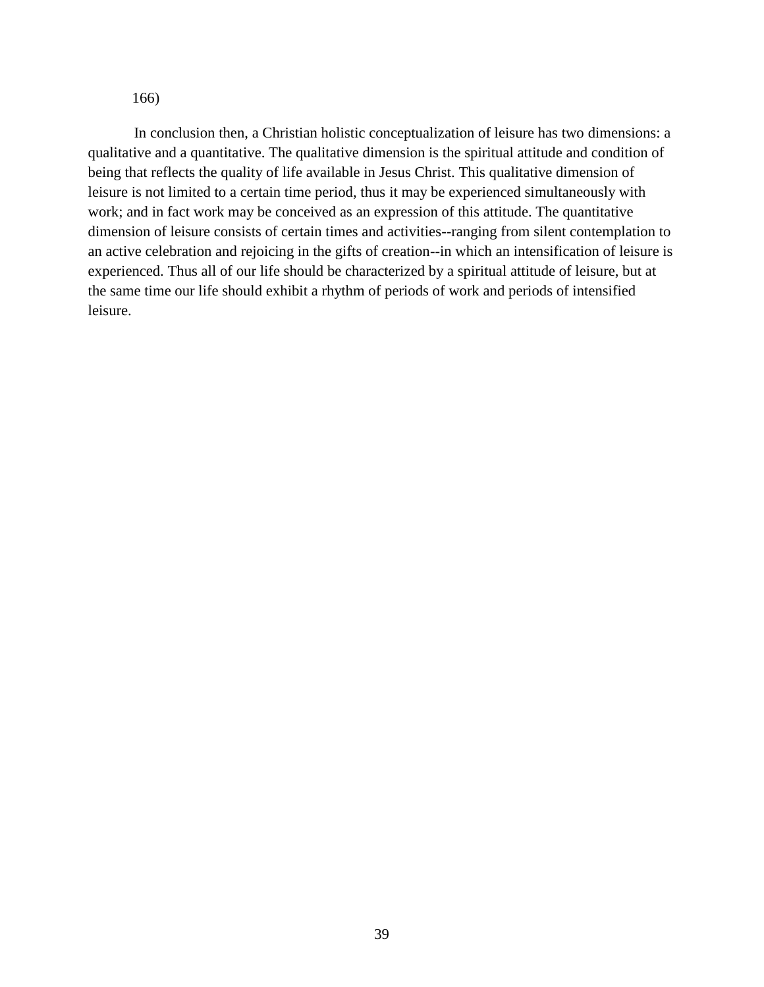166)

In conclusion then, a Christian holistic conceptualization of leisure has two dimensions: a qualitative and a quantitative. The qualitative dimension is the spiritual attitude and condition of being that reflects the quality of life available in Jesus Christ. This qualitative dimension of leisure is not limited to a certain time period, thus it may be experienced simultaneously with work; and in fact work may be conceived as an expression of this attitude. The quantitative dimension of leisure consists of certain times and activities--ranging from silent contemplation to an active celebration and rejoicing in the gifts of creation--in which an intensification of leisure is experienced. Thus all of our life should be characterized by a spiritual attitude of leisure, but at the same time our life should exhibit a rhythm of periods of work and periods of intensified leisure.